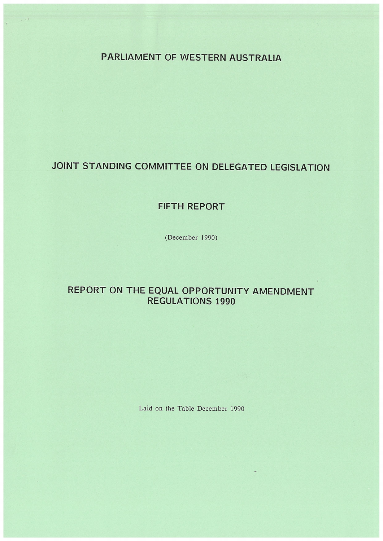PARLIAMENT OF WESTERN AUSTRALIA

# JOINT STANDING COMMITTEE ON DELEGATED LEGISLATION

## FIFTH REPORT

(December 1990)

# REPORT ON THE EQUAL OPPORTUNITY AMENDMENT **REGULATIONS 1990**

#### Laid on the Table December 1990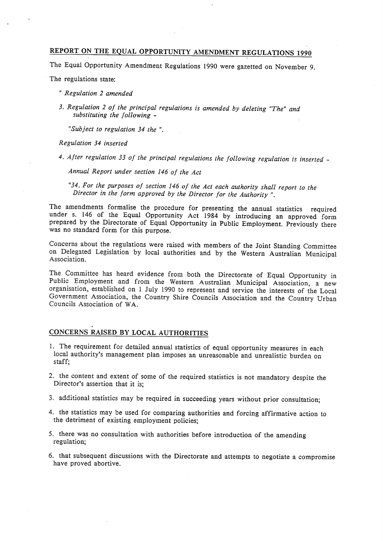### REPORT ON THE EQUAL OPPORTUNITY AMENDMENT REGULATIONS 1990

The Equal Opportunity Amendment Regulations 1990 were gazetted on November 9.

The regulations state:

- " Regulation 2 amended
- 3. Regulation 2 of the principal regulations is amended by deleting "The" and substituting the following  $-$

"Subject to regulation 34 the ".

Regulation 34 inserted

4. After regulation 33 of the principal regulations the following regulation is inserted -

Annual Report under section 146 of the Act

"34. For the purposes of section 146 of the Act each authority shall report to the Director in the form approved by the Director for the Authority ".

The amendments formalise the procedure for presenting the annual statistics required under s. 146 of the Equal Opportunity Act 1984 by introducing an approved form prepared by the Directorate of Equal Opportunity in Public Employment. Previously there was no standard form for this purpose.

Concerns about the regulations were raised with members of the Joint Standing Committee on Delegated Legislation by local authorities and by the Western Australian Municipal<br>Association.

The Committee has heard evidence from both the Directorate of Equal Opportunity in Public Employment and from the Western Australian Municipal Association, a new organisation, established on 1 July 1990 to represent and se Government Association, the Country Shire Councils Association and the Country Urban Councils Association of WA.

### CONCERNS RAISED BY LOCAL AUTHORITIES

- 1. The requirement for detailed annual statistics of equal opportunity measures in each local authority's management plan imposes an unreasonable and unrealistic burden on staff;
- 2. the content and extent of some of the required statistics is not mandatory despite the Director's assertion that it is;
- 3. additional statistics may be required in succeeding years without prior consultation;
- 4. the statistics may be used for comparing authorities and forcing affirmative action to the detriment of existing employment policies;
- 5. there was no consultation with authorities before introduction of the amending regulation;
- 6. that subsequent discussions with the Directorate and attempts to negotiate a compromise have proved abortive.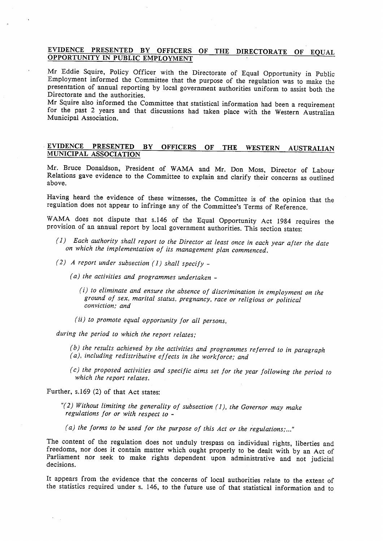### EVIDENCE PRESENTED BY OFFICERS OF THE DIRECTORATE OF EQUAL OPPORTUNITY IN PUBLIC EMPLOYMENT

Mr Eddie Squire, Policy Officer with the Directorate of Equal Opportunity in Public<br>Employment informed the Committee that the purpose of the regulation was to make the<br>presentation of annual reporting by local government

Mr Squire also informed the Committee that statistical information had been a requirement for the past 2 years and that discussions had taken place with the Western Australian Municipal Association.

#### EVIDENCE MUNICIPAL ASSOCIATION PRESENTED BY OFFICERS OF THE WESTERN AUSTRALIAN

Mr. Bruce Donaldson, President of WAMA and Mr. Don Moss, Director of Labour Relations gave evidence to the Committee to explain and clarify their concerns as outlined above.

Having heard the evidence of these witnesses, the Committee is of the opinion that the regulation does not appear to infringe any of the Committee's Terms of Reference.

w AMA does not dispute that s.146 of the Equal Opportunity Act 1984 requires the provision of an annual report by local government authorities. This section states:

- (1) Each authority shall report to the Director at least once in each year after the date on which the implementation of its management plan commenced.
- (2) A report under subsection (1) shall specify -
	- (a) the activities and programmes undertaken
		- (i) to eliminate and ensure the absence of discrimination in employment on the ground of sex, marital status, pregnancy, race or religious or political conviction; and
		- $(ii)$  to promote equal opportunity for all persons,

during the period to which the report relates:

- (b) the results achieved by the activities and programmes referred to in paragraph (a), including redistributive effects in the workforce; and
- $(c)$  the proposed activities and specific aims set for the year following the period to which the report relates.

Further, s. 169 (2) of that Act states:

"(2) Without limiting the generality of subsection (1), the Governor may make regulations for or with respect to -

(a) the forms to be used for the purpose of this Act or the regulations;..."

The content of the regulation does not unduly trespass on individual rights, liberties and freedoms, nor does it contain matter which ought properly to be dealt with by an Act of Parliament nor seek to make rights dependen decisions.

It appears from the evidence that the concerns of local authorities relate to the extent of the statistics required under s. 146, to the future use of that statistical information and to